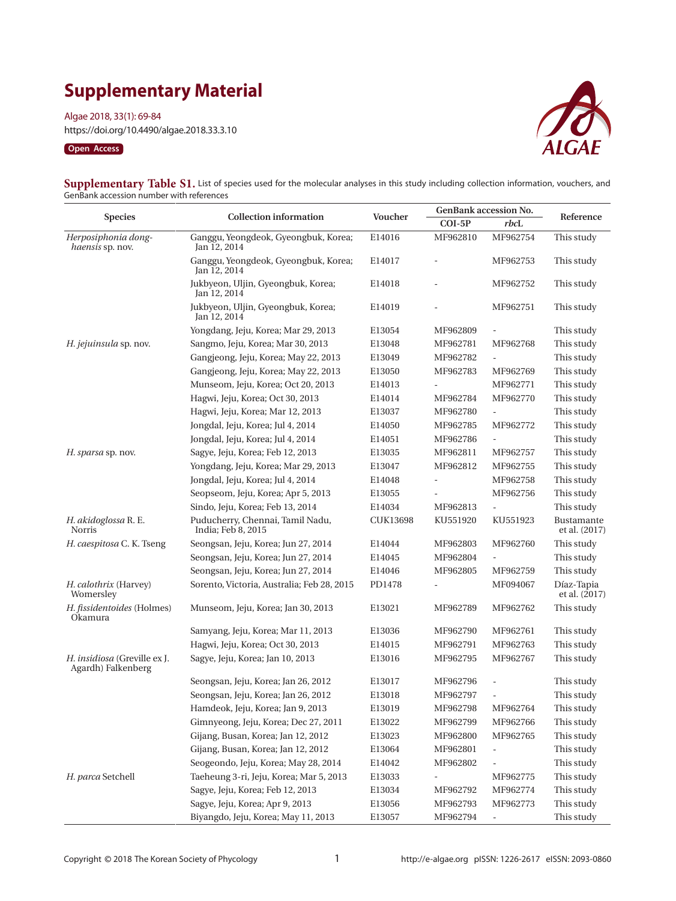# **Supplementary Material**

Algae 2018, 33(1): 69-84

https://doi.org/10.4490/algae.2018.33.3.10

### **Open Access**



| Supplementary Table S1. List of species used for the molecular analyses in this study including collection information, vouchers, and |  |
|---------------------------------------------------------------------------------------------------------------------------------------|--|
| GenBank accession number with references                                                                                              |  |

| <b>Species</b>                                     | <b>Collection information</b>                          | Voucher  | <b>GenBank accession No.</b> |                          | Reference                   |
|----------------------------------------------------|--------------------------------------------------------|----------|------------------------------|--------------------------|-----------------------------|
|                                                    |                                                        |          | $COI-5P$                     | $rbc$ L                  |                             |
| Herposiphonia dong-<br>haensis sp. nov.            | Ganggu, Yeongdeok, Gyeongbuk, Korea;<br>Jan 12, 2014   | E14016   | MF962810                     | MF962754                 | This study                  |
|                                                    | Ganggu, Yeongdeok, Gyeongbuk, Korea;<br>Jan 12, 2014   | E14017   |                              | MF962753                 | This study                  |
|                                                    | Jukbyeon, Uljin, Gyeongbuk, Korea;<br>Jan 12, 2014     | E14018   |                              | MF962752                 | This study                  |
|                                                    | Jukbyeon, Uljin, Gyeongbuk, Korea;<br>Jan 12, 2014     | E14019   |                              | MF962751                 | This study                  |
|                                                    | Yongdang, Jeju, Korea; Mar 29, 2013                    | E13054   | MF962809                     |                          | This study                  |
| H. jejuinsula sp. nov.                             | Sangmo, Jeju, Korea; Mar 30, 2013                      | E13048   | MF962781                     | MF962768                 | This study                  |
|                                                    | Gangjeong, Jeju, Korea; May 22, 2013                   | E13049   | MF962782                     | $\overline{\phantom{a}}$ | This study                  |
|                                                    | Gangjeong, Jeju, Korea; May 22, 2013                   | E13050   | MF962783                     | MF962769                 | This study                  |
|                                                    | Munseom, Jeju, Korea; Oct 20, 2013                     | E14013   |                              | MF962771                 | This study                  |
|                                                    | Hagwi, Jeju, Korea; Oct 30, 2013                       | E14014   | MF962784                     | MF962770                 | This study                  |
|                                                    | Hagwi, Jeju, Korea; Mar 12, 2013                       | E13037   | MF962780                     | $\overline{\phantom{a}}$ | This study                  |
|                                                    | Jongdal, Jeju, Korea; Jul 4, 2014                      | E14050   | MF962785                     | MF962772                 | This study                  |
|                                                    | Jongdal, Jeju, Korea; Jul 4, 2014                      | E14051   | MF962786                     | $\overline{\phantom{a}}$ | This study                  |
| H. sparsa sp. nov.                                 | Sagye, Jeju, Korea; Feb 12, 2013                       | E13035   | MF962811                     | MF962757                 | This study                  |
|                                                    | Yongdang, Jeju, Korea; Mar 29, 2013                    | E13047   | MF962812                     | MF962755                 | This study                  |
|                                                    | Jongdal, Jeju, Korea; Jul 4, 2014                      | E14048   |                              | MF962758                 | This study                  |
|                                                    | Seopseom, Jeju, Korea; Apr 5, 2013                     | E13055   |                              | MF962756                 | This study                  |
|                                                    | Sindo, Jeju, Korea; Feb 13, 2014                       | E14034   | MF962813                     | $\overline{\phantom{a}}$ | This study                  |
| H. akidoglossa R. E.<br>Norris                     | Puducherry, Chennai, Tamil Nadu,<br>India; Feb 8, 2015 | CUK13698 | KU551920                     | KU551923                 | Bustamante<br>et al. (2017) |
| H. caespitosa C. K. Tseng                          | Seongsan, Jeju, Korea; Jun 27, 2014                    | E14044   | MF962803                     | MF962760                 | This study                  |
|                                                    | Seongsan, Jeju, Korea; Jun 27, 2014                    | E14045   | MF962804                     | $\frac{1}{2}$            | This study                  |
|                                                    | Seongsan, Jeju, Korea; Jun 27, 2014                    | E14046   | MF962805                     | MF962759                 | This study                  |
| H. calothrix (Harvey)<br>Womersley                 | Sorento, Victoria, Australia; Feb 28, 2015             | PD1478   |                              | MF094067                 | Díaz-Tapia<br>et al. (2017) |
| H. fissidentoides (Holmes)<br>Okamura              | Munseom, Jeju, Korea; Jan 30, 2013                     | E13021   | MF962789                     | MF962762                 | This study                  |
|                                                    | Samyang, Jeju, Korea; Mar 11, 2013                     | E13036   | MF962790                     | MF962761                 | This study                  |
|                                                    | Hagwi, Jeju, Korea; Oct 30, 2013                       | E14015   | MF962791                     | MF962763                 | This study                  |
| H. insidiosa (Greville ex J.<br>Agardh) Falkenberg | Sagye, Jeju, Korea; Jan 10, 2013                       | E13016   | MF962795                     | MF962767                 | This study                  |
|                                                    | Seongsan, Jeju, Korea; Jan 26, 2012                    | E13017   | MF962796                     |                          | This study                  |
|                                                    | Seongsan, Jeju, Korea; Jan 26, 2012                    | E13018   | MF962797                     |                          | This study                  |
|                                                    | Hamdeok, Jeju, Korea; Jan 9, 2013                      | E13019   | MF962798                     | MF962764                 | This study                  |
|                                                    | Gimnyeong, Jeju, Korea; Dec 27, 2011                   | E13022   | MF962799                     | MF962766                 | This study                  |
|                                                    | Gijang, Busan, Korea; Jan 12, 2012                     | E13023   | MF962800                     | MF962765                 | This study                  |
|                                                    | Gijang, Busan, Korea; Jan 12, 2012                     | E13064   | MF962801                     |                          | This study                  |
|                                                    | Seogeondo, Jeju, Korea; May 28, 2014                   | E14042   | MF962802                     |                          | This study                  |
| H. parca Setchell                                  | Taeheung 3-ri, Jeju, Korea; Mar 5, 2013                | E13033   |                              | MF962775                 | This study                  |
|                                                    | Sagye, Jeju, Korea; Feb 12, 2013                       | E13034   | MF962792                     | MF962774                 | This study                  |
|                                                    | Sagye, Jeju, Korea; Apr 9, 2013                        | E13056   | MF962793                     | MF962773                 | This study                  |
|                                                    | Biyangdo, Jeju, Korea; May 11, 2013                    | E13057   | MF962794                     | $\overline{\phantom{0}}$ | This study                  |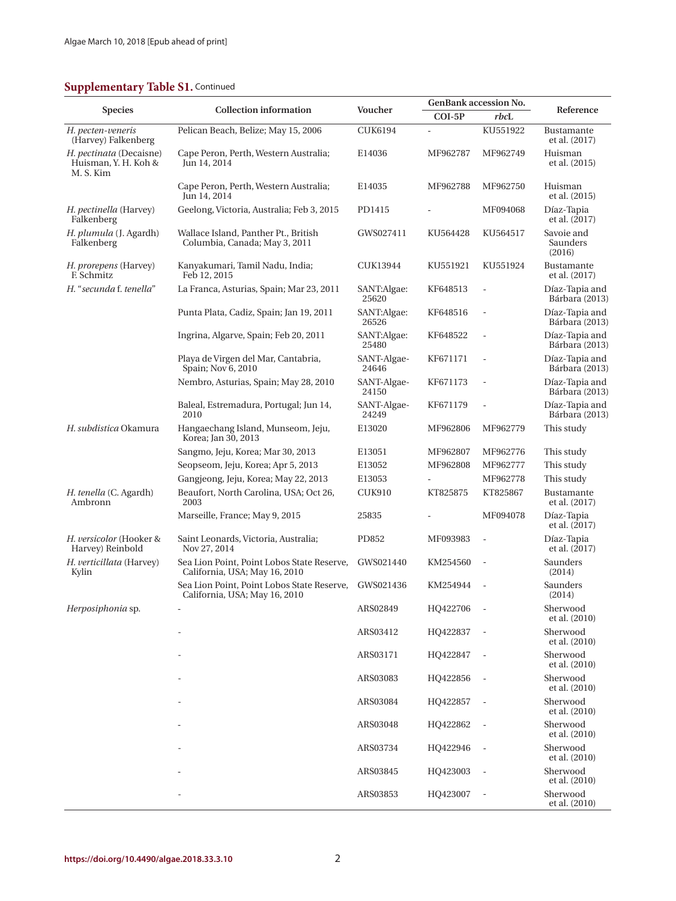## **Supplementary Table S1. Continued**

|                                                              | <b>Collection information</b>                                               | Voucher              |          | <b>GenBank accession No.</b> |                                  |
|--------------------------------------------------------------|-----------------------------------------------------------------------------|----------------------|----------|------------------------------|----------------------------------|
| <b>Species</b>                                               |                                                                             |                      | $COI-5P$ | rbcL                         | Reference                        |
| H. pecten-veneris<br>(Harvey) Falkenberg                     | Pelican Beach, Belize; May 15, 2006                                         | <b>CUK6194</b>       | ä,       | KU551922                     | Bustamante<br>et al. (2017)      |
| H. pectinata (Decaisne)<br>Huisman, Y. H. Koh &<br>M. S. Kim | Cape Peron, Perth, Western Australia;<br>Jun 14, 2014                       | E14036               | MF962787 | MF962749                     | Huisman<br>et al. (2015)         |
|                                                              | Cape Peron, Perth, Western Australia;<br>Jun 14, 2014                       | E14035               | MF962788 | MF962750                     | Huisman<br>et al. (2015)         |
| H. pectinella (Harvey)<br>Falkenberg                         | Geelong, Victoria, Australia; Feb 3, 2015                                   | PD1415               |          | MF094068                     | Díaz-Tapia<br>et al. (2017)      |
| H. plumula (J. Agardh)<br>Falkenberg                         | Wallace Island, Panther Pt., British<br>Columbia, Canada; May 3, 2011       | GWS027411            | KU564428 | KU564517                     | Savoie and<br>Saunders<br>(2016) |
| H. prorepens (Harvey)<br>F. Schmitz                          | Kanyakumari, Tamil Nadu, India;<br>Feb 12, 2015                             | CUK13944             | KU551921 | KU551924                     | Bustamante<br>et al. (2017)      |
| H. "secunda f. tenella"                                      | La Franca, Asturias, Spain; Mar 23, 2011                                    | SANT:Algae:<br>25620 | KF648513 | $\overline{\phantom{a}}$     | Díaz-Tapia and<br>Bárbara (2013) |
|                                                              | Punta Plata, Cadiz, Spain; Jan 19, 2011                                     | SANT:Algae:<br>26526 | KF648516 | $\overline{\phantom{a}}$     | Díaz-Tapia and<br>Bárbara (2013) |
|                                                              | Ingrina, Algarve, Spain; Feb 20, 2011                                       | SANT:Algae:<br>25480 | KF648522 | ÷,                           | Díaz-Tapia and<br>Bárbara (2013) |
|                                                              | Playa de Virgen del Mar, Cantabria,<br>Spain; Nov 6, 2010                   | SANT-Algae-<br>24646 | KF671171 | ÷,                           | Díaz-Tapia and<br>Bárbara (2013) |
|                                                              | Nembro, Asturias, Spain; May 28, 2010                                       | SANT-Algae-<br>24150 | KF671173 | $\overline{a}$               | Díaz-Tapia and<br>Bárbara (2013) |
|                                                              | Baleal, Estremadura, Portugal; Jun 14,<br>2010                              | SANT-Algae-<br>24249 | KF671179 | L,                           | Díaz-Tapia and<br>Bárbara (2013) |
| H. subdistica Okamura                                        | Hangaechang Island, Munseom, Jeju,<br>Korea; Jan 30, 2013                   | E13020               | MF962806 | MF962779                     | This study                       |
|                                                              | Sangmo, Jeju, Korea; Mar 30, 2013                                           | E13051               | MF962807 | MF962776                     | This study                       |
|                                                              | Seopseom, Jeju, Korea; Apr 5, 2013                                          | E13052               | MF962808 | MF962777                     | This study                       |
|                                                              | Gangjeong, Jeju, Korea; May 22, 2013                                        | E13053               |          | MF962778                     | This study                       |
| H. tenella (C. Agardh)<br>Ambronn                            | Beaufort, North Carolina, USA; Oct 26,<br>2003                              | <b>CUK910</b>        | KT825875 | KT825867                     | Bustamante<br>et al. (2017)      |
|                                                              | Marseille, France; May 9, 2015                                              | 25835                |          | MF094078                     | Díaz-Tapia<br>et al. (2017)      |
| H. versicolor (Hooker &<br>Harvey) Reinbold                  | Saint Leonards, Victoria, Australia;<br>Nov 27, 2014                        | PD852                | MF093983 | $\overline{\phantom{a}}$     | Díaz-Tapia<br>et al. $(2017)$    |
| H. verticillata (Harvey)<br>Kylin                            | Sea Lion Point, Point Lobos State Reserve,<br>California, USA; May 16, 2010 | GWS021440            | KM254560 | $\overline{a}$               | Saunders<br>(2014)               |
|                                                              | Sea Lion Point, Point Lobos State Reserve,<br>California, USA; May 16, 2010 | GWS021436            | KM254944 |                              | Saunders<br>(2014)               |
| Herposiphonia sp.                                            |                                                                             | ARS02849             | HQ422706 | $\Box$                       | Sherwood<br>et al. (2010)        |
|                                                              |                                                                             | ARS03412             | HQ422837 |                              | Sherwood<br>et al. (2010)        |
|                                                              |                                                                             | ARS03171             | HQ422847 | $\overline{\phantom{a}}$     | Sherwood<br>et al. (2010)        |
|                                                              |                                                                             | ARS03083             | HQ422856 | $\overline{\phantom{a}}$     | Sherwood<br>et al. (2010)        |
|                                                              |                                                                             | ARS03084             | HQ422857 | $\overline{\phantom{a}}$     | Sherwood<br>et al. (2010)        |
|                                                              |                                                                             | ARS03048             | HQ422862 | $\overline{\phantom{a}}$     | Sherwood<br>et al. (2010)        |
|                                                              |                                                                             | ARS03734             | HQ422946 | $\overline{\phantom{a}}$     | Sherwood<br>et al. (2010)        |
|                                                              |                                                                             | ARS03845             | HQ423003 | $\overline{\phantom{a}}$     | Sherwood<br>et al. (2010)        |
|                                                              |                                                                             | ARS03853             | HQ423007 | $\overline{\phantom{a}}$     | Sherwood<br>et al. (2010)        |